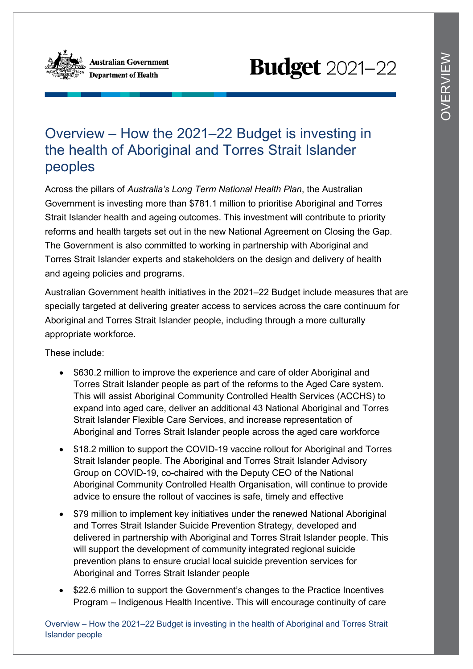

# **Budget** 2021-22

# Overview – How the 2021–22 Budget is investing in the health of Aboriginal and Torres Strait Islander peoples

Across the pillars of *Australia's Long Term National Health Plan*, the Australian Government is investing more than \$781.1 million to prioritise Aboriginal and Torres Strait Islander health and ageing outcomes. This investment will contribute to priority reforms and health targets set out in the new National Agreement on Closing the Gap. The Government is also committed to working in partnership with Aboriginal and Torres Strait Islander experts and stakeholders on the design and delivery of health and ageing policies and programs.

Australian Government health initiatives in the 2021–22 Budget include measures that are specially targeted at delivering greater access to services across the care continuum for Aboriginal and Torres Strait Islander people, including through a more culturally appropriate workforce.

These include:

- \$630.2 million to improve the experience and care of older Aboriginal and Torres Strait Islander people as part of the reforms to the Aged Care system. This will assist Aboriginal Community Controlled Health Services (ACCHS) to expand into aged care, deliver an additional 43 National Aboriginal and Torres Strait Islander Flexible Care Services, and increase representation of Aboriginal and Torres Strait Islander people across the aged care workforce
- \$18.2 million to support the COVID-19 vaccine rollout for Aboriginal and Torres Strait Islander people. The Aboriginal and Torres Strait Islander Advisory Group on COVID-19, co-chaired with the Deputy CEO of the National Aboriginal Community Controlled Health Organisation, will continue to provide advice to ensure the rollout of vaccines is safe, timely and effective
- \$79 million to implement key initiatives under the renewed National Aboriginal and Torres Strait Islander Suicide Prevention Strategy, developed and delivered in partnership with Aboriginal and Torres Strait Islander people. This will support the development of community integrated regional suicide prevention plans to ensure crucial local suicide prevention services for Aboriginal and Torres Strait Islander people
- \$22.6 million to support the Government's changes to the Practice Incentives Program – Indigenous Health Incentive. This will encourage continuity of care

Overview – How the 2021–22 Budget is investing in the health of Aboriginal and Torres Strait Islander people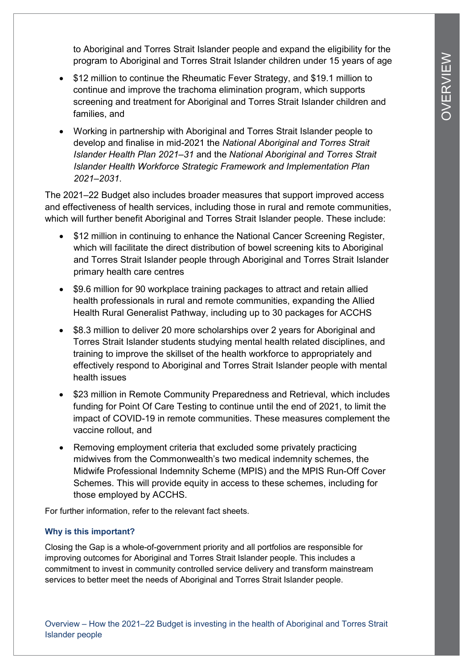to Aboriginal and Torres Strait Islander people and expand the eligibility for the program to Aboriginal and Torres Strait Islander children under 15 years of age

- \$12 million to continue the Rheumatic Fever Strategy, and \$19.1 million to continue and improve the trachoma elimination program, which supports screening and treatment for Aboriginal and Torres Strait Islander children and families, and
- Working in partnership with Aboriginal and Torres Strait Islander people to develop and finalise in mid-2021 the *National Aboriginal and Torres Strait Islander Health Plan 2021–31* and the *National Aboriginal and Torres Strait Islander Health Workforce Strategic Framework and Implementation Plan 2021–2031*.

The 2021–22 Budget also includes broader measures that support improved access and effectiveness of health services, including those in rural and remote communities, which will further benefit Aboriginal and Torres Strait Islander people. These include:

- \$12 million in continuing to enhance the National Cancer Screening Register, which will facilitate the direct distribution of bowel screening kits to Aboriginal and Torres Strait Islander people through Aboriginal and Torres Strait Islander primary health care centres
- \$9.6 million for 90 workplace training packages to attract and retain allied health professionals in rural and remote communities, expanding the Allied Health Rural Generalist Pathway, including up to 30 packages for ACCHS
- \$8.3 million to deliver 20 more scholarships over 2 years for Aboriginal and Torres Strait Islander students studying mental health related disciplines, and training to improve the skillset of the health workforce to appropriately and effectively respond to Aboriginal and Torres Strait Islander people with mental health issues
- \$23 million in Remote Community Preparedness and Retrieval, which includes funding for Point Of Care Testing to continue until the end of 2021, to limit the impact of COVID-19 in remote communities. These measures complement the vaccine rollout, and
- Removing employment criteria that excluded some privately practicing midwives from the Commonwealth's two medical indemnity schemes, the Midwife Professional Indemnity Scheme (MPIS) and the MPIS Run-Off Cover Schemes. This will provide equity in access to these schemes, including for those employed by ACCHS.

For further information, refer to the relevant fact sheets.

## **Why is this important?**

Closing the Gap is a whole-of-government priority and all portfolios are responsible for improving outcomes for Aboriginal and Torres Strait Islander people. This includes a commitment to invest in community controlled service delivery and transform mainstream services to better meet the needs of Aboriginal and Torres Strait Islander people.